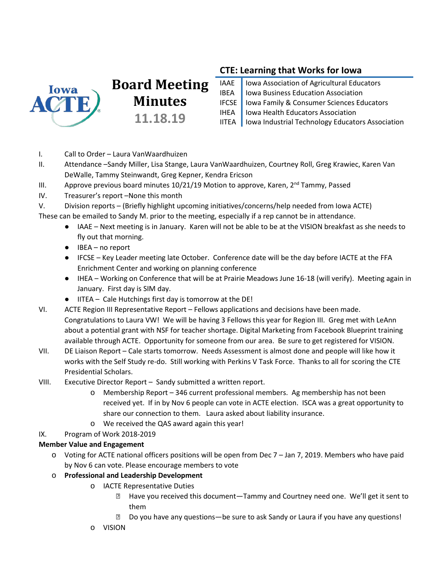

# **Board Meeting Minutes 11.18.19**

## **CTE: Learning that Works for Iowa**

| IAAE   Iowa Association of Agricultural Educators<br>IBEA   Iowa Business Education Association |
|-------------------------------------------------------------------------------------------------|
| IFCSE   Iowa Family & Consumer Sciences Educators<br>IHEA   Iowa Health Educators Association   |
|                                                                                                 |
| IITEA   Iowa Industrial Technology Educators Association                                        |

- I. Call to Order Laura VanWaardhuizen
- II. Attendance –Sandy Miller, Lisa Stange, Laura VanWaardhuizen, Courtney Roll, Greg Krawiec, Karen Van DeWalle, Tammy Steinwandt, Greg Kepner, Kendra Ericson
- III. Approve previous board minutes  $10/21/19$  Motion to approve, Karen,  $2^{nd}$  Tammy, Passed
- IV. Treasurer's report –None this month
- V. Division reports (Briefly highlight upcoming initiatives/concerns/help needed from Iowa ACTE)
- These can be emailed to Sandy M. prior to the meeting, especially if a rep cannot be in attendance.
	- IAAE Next meeting is in January. Karen will not be able to be at the VISION breakfast as she needs to fly out that morning.
	- IBEA no report
	- IFCSE Key Leader meeting late October. Conference date will be the day before IACTE at the FFA Enrichment Center and working on planning conference
	- IHEA Working on Conference that will be at Prairie Meadows June 16-18 (will verify). Meeting again in January. First day is SIM day.
	- IITEA Cale Hutchings first day is tomorrow at the DE!
- VI. ACTE Region III Representative Report Fellows applications and decisions have been made. Congratulations to Laura VW! We will be having 3 Fellows this year for Region III. Greg met with LeAnn about a potential grant with NSF for teacher shortage. Digital Marketing from Facebook Blueprint training available through ACTE. Opportunity for someone from our area. Be sure to get registered for VISION.
- VII. DE Liaison Report Cale starts tomorrow. Needs Assessment is almost done and people will like how it works with the Self Study re-do. Still working with Perkins V Task Force. Thanks to all for scoring the CTE Presidential Scholars.
- VIII. Executive Director Report Sandy submitted a written report.
	- o Membership Report 346 current professional members. Ag membership has not been received yet. If in by Nov 6 people can vote in ACTE election. ISCA was a great opportunity to share our connection to them. Laura asked about liability insurance.
	- o We received the QAS award again this year!
- IX. Program of Work 2018-2019

### **Member Value and Engagement**

- o Voting for ACTE national officers positions will be open from Dec 7 Jan 7, 2019. Members who have paid by Nov 6 can vote. Please encourage members to vote
- o **Professional and Leadership Development**
	- o IACTE Representative Duties
		- ⮚ Have you received this document—Tammy and Courtney need one. We'll get it sent to them
		- ⮚ Do you have any questions—be sure to ask Sandy or Laura if you have any questions!
	- o VISION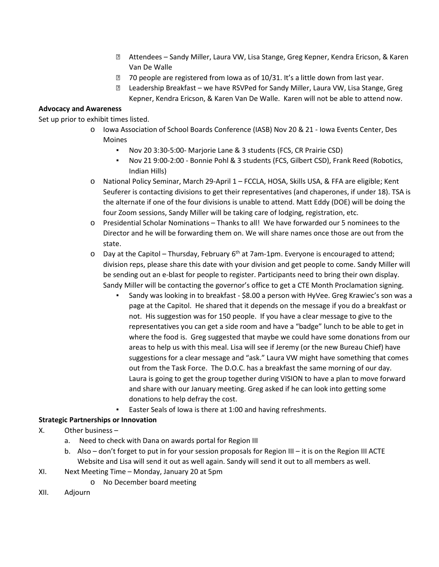- ⮚ Attendees Sandy Miller, Laura VW, Lisa Stange, Greg Kepner, Kendra Ericson, & Karen Van De Walle
- ⮚ 70 people are registered from Iowa as of 10/31. It's a little down from last year.
- ⮚ Leadership Breakfast we have RSVPed for Sandy Miller, Laura VW, Lisa Stange, Greg Kepner, Kendra Ericson, & Karen Van De Walle. Karen will not be able to attend now.

#### **Advocacy and Awareness**

Set up prior to exhibit times listed.

- o Iowa Association of School Boards Conference (IASB) Nov 20 & 21 Iowa Events Center, Des Moines
	- Nov 20 3:30-5:00- Marjorie Lane & 3 students (FCS, CR Prairie CSD)
	- Nov 21 9:00-2:00 Bonnie Pohl & 3 students (FCS, Gilbert CSD), Frank Reed (Robotics, Indian Hills)
- o National Policy Seminar, March 29-April 1 FCCLA, HOSA, Skills USA, & FFA are eligible; Kent Seuferer is contacting divisions to get their representatives (and chaperones, if under 18). TSA is the alternate if one of the four divisions is unable to attend. Matt Eddy (DOE) will be doing the four Zoom sessions, Sandy Miller will be taking care of lodging, registration, etc.
- o Presidential Scholar Nominations Thanks to all! We have forwarded our 5 nominees to the Director and he will be forwarding them on. We will share names once those are out from the state.
- $\circ$  Day at the Capitol Thursday, February 6<sup>th</sup> at 7am-1pm. Everyone is encouraged to attend; division reps, please share this date with your division and get people to come. Sandy Miller will be sending out an e-blast for people to register. Participants need to bring their own display. Sandy Miller will be contacting the governor's office to get a CTE Month Proclamation signing.
	- Sandy was looking in to breakfast \$8.00 a person with HyVee. Greg Krawiec's son was a page at the Capitol. He shared that it depends on the message if you do a breakfast or not. His suggestion was for 150 people. If you have a clear message to give to the representatives you can get a side room and have a "badge" lunch to be able to get in where the food is. Greg suggested that maybe we could have some donations from our areas to help us with this meal. Lisa will see if Jeremy (or the new Bureau Chief) have suggestions for a clear message and "ask." Laura VW might have something that comes out from the Task Force. The D.O.C. has a breakfast the same morning of our day. Laura is going to get the group together during VISION to have a plan to move forward and share with our January meeting. Greg asked if he can look into getting some donations to help defray the cost.
	- Easter Seals of Iowa is there at 1:00 and having refreshments.

#### **Strategic Partnerships or Innovation**

- X. Other business
	- a. Need to check with Dana on awards portal for Region III
	- b. Also don't forget to put in for your session proposals for Region III it is on the Region III ACTE Website and Lisa will send it out as well again. Sandy will send it out to all members as well.
- XI. Next Meeting Time Monday, January 20 at 5pm
	- o No December board meeting
- XII. Adjourn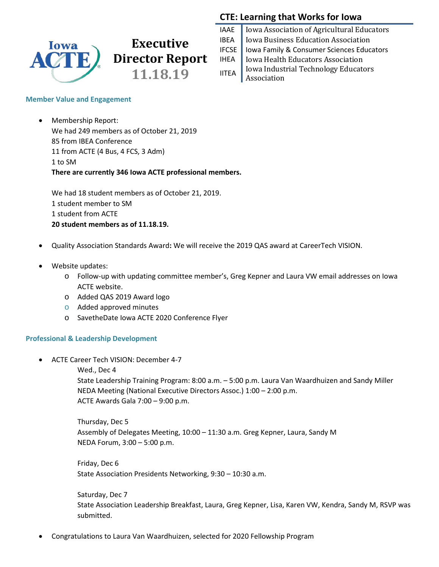

## **CTE: Learning that Works for Iowa**

|              | IAAE   Iowa Association of Agricultural Educators                                                                                                                                |
|--------------|----------------------------------------------------------------------------------------------------------------------------------------------------------------------------------|
| IBEA         | Iowa Business Education Association                                                                                                                                              |
|              | IFCSE   Iowa Family & Consumer Sciences Educators                                                                                                                                |
|              | IHEA   Iowa Health Educators Association<br>$\begin{array}{c c} \hline \text{I} & \text{I} & \text{I} \\ \hline \text{I} & \text{I} & \text{I} & \text{I} \\ \hline \end{array}$ |
| <b>IITEA</b> |                                                                                                                                                                                  |
|              | Association                                                                                                                                                                      |

#### **Member Value and Engagement**

• Membership Report: We had 249 members as of October 21, 2019 85 from IBEA Conference 11 from ACTE (4 Bus, 4 FCS, 3 Adm) 1 to SM **There are currently 346 Iowa ACTE professional members.**

We had 18 student members as of October 21, 2019. 1 student member to SM 1 student from ACTE **20 student members as of 11.18.19.**

- Quality Association Standards Award**:** We will receive the 2019 QAS award at CareerTech VISION.
- Website updates:
	- o Follow-up with updating committee member's, Greg Kepner and Laura VW email addresses on Iowa ACTE website.
	- o Added QAS 2019 Award logo
	- o Added approved minutes
	- o SavetheDate Iowa ACTE 2020 Conference Flyer

#### **Professional & Leadership Development**

• ACTE Career Tech VISION: December 4-7

Wed., Dec 4

State Leadership Training Program: 8:00 a.m. – 5:00 p.m. Laura Van Waardhuizen and Sandy Miller NEDA Meeting (National Executive Directors Assoc.) 1:00 – 2:00 p.m. ACTE Awards Gala 7:00 – 9:00 p.m.

Thursday, Dec 5 Assembly of Delegates Meeting, 10:00 – 11:30 a.m. Greg Kepner, Laura, Sandy M NEDA Forum, 3:00 – 5:00 p.m.

Friday, Dec 6 State Association Presidents Networking, 9:30 – 10:30 a.m.

Saturday, Dec 7 State Association Leadership Breakfast, Laura, Greg Kepner, Lisa, Karen VW, Kendra, Sandy M, RSVP was submitted.

• Congratulations to Laura Van Waardhuizen, selected for 2020 Fellowship Program